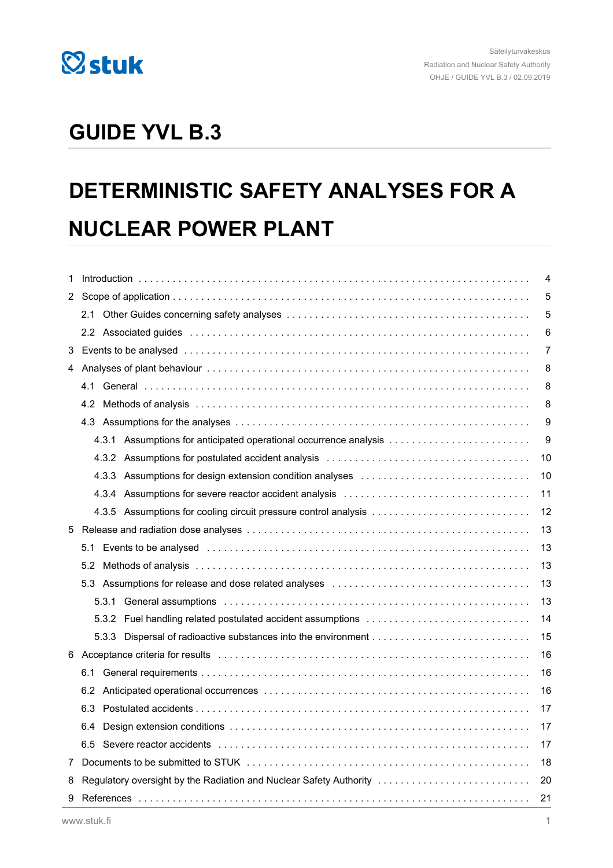

## **GUIDE YVL B.3**

# **DETERMINISTIC SAFETY ANALYSES FOR A NUCLEAR POWER PLANT**

| 1   |     |                                                                          |    | 4  |  |
|-----|-----|--------------------------------------------------------------------------|----|----|--|
| 2   |     |                                                                          |    | 5  |  |
|     |     |                                                                          |    | 5  |  |
|     |     |                                                                          |    | 6  |  |
| 3   |     |                                                                          |    |    |  |
| 4   |     |                                                                          |    | 8  |  |
| 4.1 |     |                                                                          |    | 8  |  |
| 4.2 |     |                                                                          |    | 8  |  |
|     |     |                                                                          |    | 9  |  |
|     |     |                                                                          |    | 9  |  |
|     |     |                                                                          |    | 10 |  |
|     |     |                                                                          |    | 10 |  |
|     |     |                                                                          |    | 11 |  |
|     |     |                                                                          |    | 12 |  |
| 5   |     |                                                                          |    |    |  |
|     | 5.1 |                                                                          |    | 13 |  |
|     | 5.2 |                                                                          |    | 13 |  |
|     |     |                                                                          |    | 13 |  |
|     |     | 5.3.1                                                                    |    | 13 |  |
|     |     |                                                                          |    | 14 |  |
|     |     |                                                                          |    | 15 |  |
| 6   |     |                                                                          |    |    |  |
| 6.1 |     |                                                                          |    | 16 |  |
|     |     |                                                                          |    | 16 |  |
|     | 6.3 | 17                                                                       |    |    |  |
|     | 6.4 |                                                                          |    | 17 |  |
| 6.5 |     |                                                                          | 17 |    |  |
| 7   |     | 18                                                                       |    |    |  |
| 8   |     | Regulatory oversight by the Radiation and Nuclear Safety Authority<br>20 |    |    |  |
| 9   |     | 21                                                                       |    |    |  |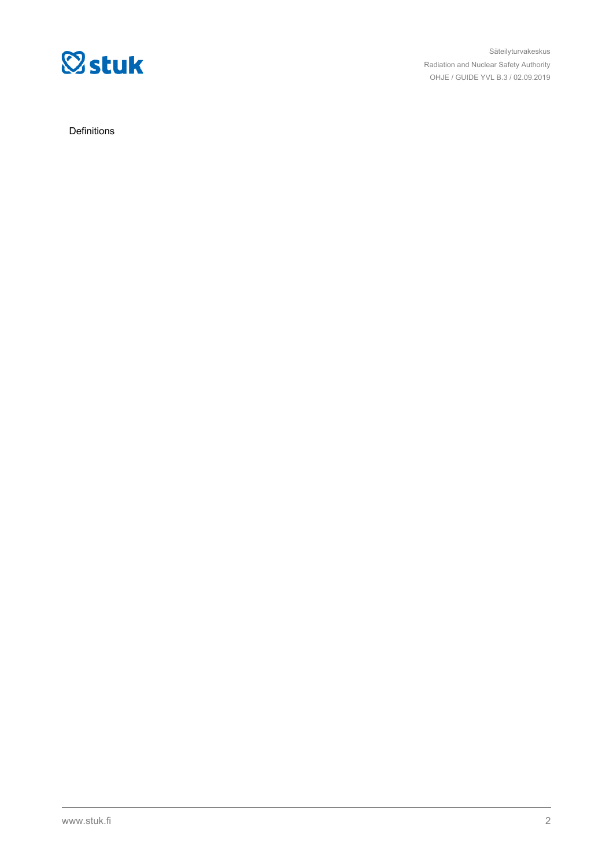

Säteilyturvakeskus Radiation and Nuclear Safety Authority OHJE / GUIDE YVL B.3 / 02.09.2019

Definitions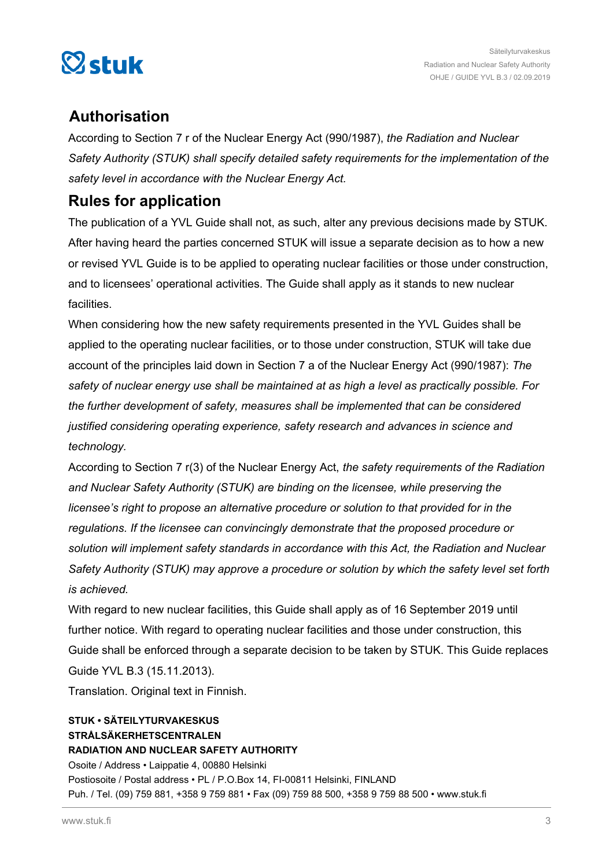

### **Authorisation**

According to Section 7 r of the Nuclear Energy Act (990/1987), *the Radiation and Nuclear Safety Authority (STUK) shall specify detailed safety requirements for the implementation of the safety level in accordance with the Nuclear Energy Act.*

### **Rules for application**

The publication of a YVL Guide shall not, as such, alter any previous decisions made by STUK. After having heard the parties concerned STUK will issue a separate decision as to how a new or revised YVL Guide is to be applied to operating nuclear facilities or those under construction, and to licensees' operational activities. The Guide shall apply as it stands to new nuclear facilities.

When considering how the new safety requirements presented in the YVL Guides shall be applied to the operating nuclear facilities, or to those under construction, STUK will take due account of the principles laid down in Section 7 a of the Nuclear Energy Act (990/1987): *The safety of nuclear energy use shall be maintained at as high a level as practically possible. For the further development of safety, measures shall be implemented that can be considered justified considering operating experience, safety research and advances in science and technology.*

According to Section 7 r(3) of the Nuclear Energy Act, *the safety requirements of the Radiation and Nuclear Safety Authority (STUK) are binding on the licensee, while preserving the licensee's right to propose an alternative procedure or solution to that provided for in the regulations. If the licensee can convincingly demonstrate that the proposed procedure or solution will implement safety standards in accordance with this Act, the Radiation and Nuclear Safety Authority (STUK) may approve a procedure or solution by which the safety level set forth is achieved.*

With regard to new nuclear facilities, this Guide shall apply as of 16 September 2019 until further notice. With regard to operating nuclear facilities and those under construction, this Guide shall be enforced through a separate decision to be taken by STUK. This Guide replaces Guide YVL B.3 (15.11.2013).

Translation. Original text in Finnish.

### **STUK • SÄTEILYTURVAKESKUS STRÅLSÄKERHETSCENTRALEN RADIATION AND NUCLEAR SAFETY AUTHORITY**

Osoite / Address • Laippatie 4, 00880 Helsinki Postiosoite / Postal address • PL / P.O.Box 14, FI-00811 Helsinki, FINLAND Puh. / Tel. (09) 759 881, +358 9 759 881 • Fax (09) 759 88 500, +358 9 759 88 500 • www.stuk.fi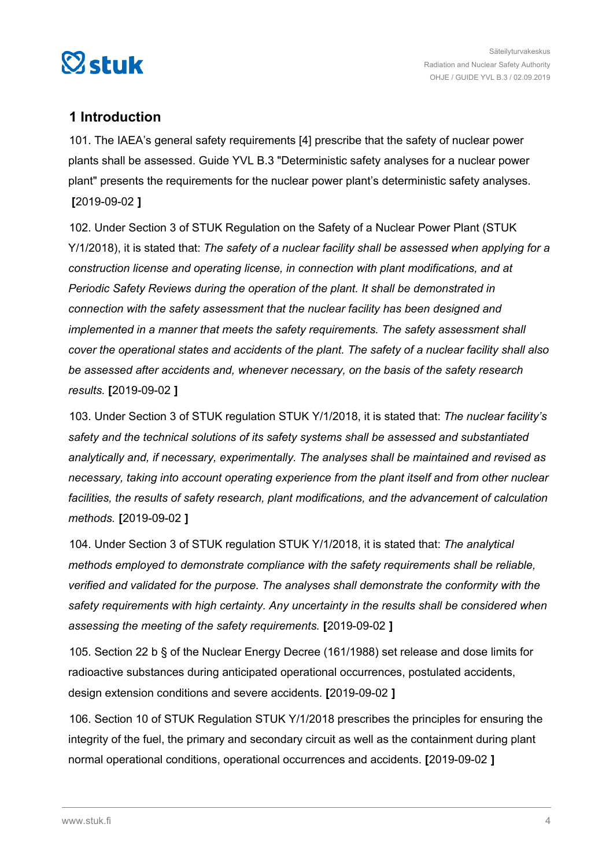<span id="page-3-0"></span>

### **1 Introduction**

101. The IAEA's general safety requirements [4] prescribe that the safety of nuclear power plants shall be assessed. Guide YVL B.3 "Deterministic safety analyses for a nuclear power plant" presents the requirements for the nuclear power plant's deterministic safety analyses. **[**2019-09-02 **]**

102. Under Section 3 of STUK Regulation on the Safety of a Nuclear Power Plant (STUK Y/1/2018), it is stated that: *The safety of a nuclear facility shall be assessed when applying for a construction license and operating license, in connection with plant modifications, and at Periodic Safety Reviews during the operation of the plant. It shall be demonstrated in connection with the safety assessment that the nuclear facility has been designed and implemented in a manner that meets the safety requirements. The safety assessment shall cover the operational states and accidents of the plant. The safety of a nuclear facility shall also be assessed after accidents and, whenever necessary, on the basis of the safety research results.* **[**2019-09-02 **]**

103. Under Section 3 of STUK regulation STUK Y/1/2018, it is stated that: *The nuclear facility's safety and the technical solutions of its safety systems shall be assessed and substantiated analytically and, if necessary, experimentally. The analyses shall be maintained and revised as necessary, taking into account operating experience from the plant itself and from other nuclear facilities, the results of safety research, plant modifications, and the advancement of calculation methods.* **[**2019-09-02 **]**

104. Under Section 3 of STUK regulation STUK Y/1/2018, it is stated that: *The analytical methods employed to demonstrate compliance with the safety requirements shall be reliable, verified and validated for the purpose. The analyses shall demonstrate the conformity with the safety requirements with high certainty. Any uncertainty in the results shall be considered when assessing the meeting of the safety requirements.* **[**2019-09-02 **]**

105. Section 22 b § of the Nuclear Energy Decree (161/1988) set release and dose limits for radioactive substances during anticipated operational occurrences, postulated accidents, design extension conditions and severe accidents. **[**2019-09-02 **]**

106. Section 10 of STUK Regulation STUK Y/1/2018 prescribes the principles for ensuring the integrity of the fuel, the primary and secondary circuit as well as the containment during plant normal operational conditions, operational occurrences and accidents. **[**2019-09-02 **]**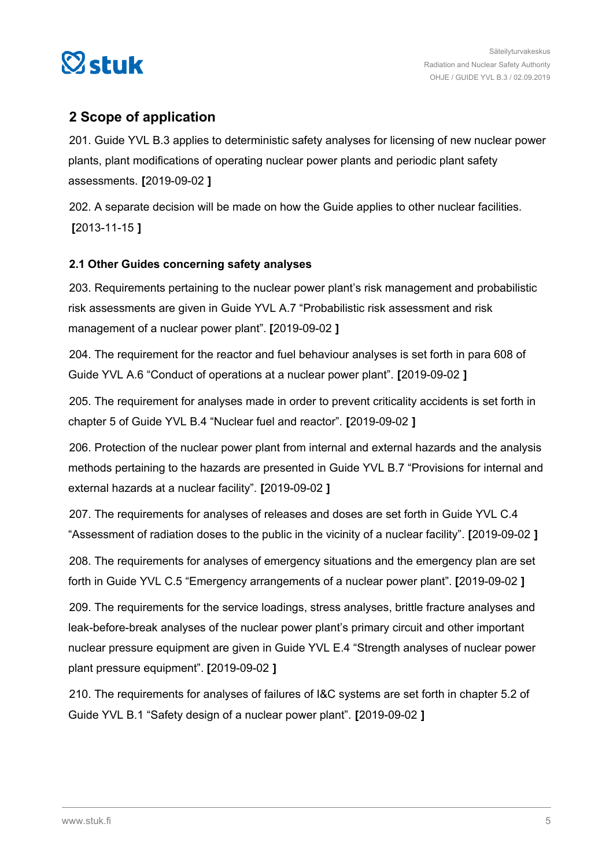<span id="page-4-0"></span>

### **2 Scope of application**

201. Guide YVL B.3 applies to deterministic safety analyses for licensing of new nuclear power plants, plant modifications of operating nuclear power plants and periodic plant safety assessments. **[**2019-09-02 **]**

202. A separate decision will be made on how the Guide applies to other nuclear facilities. **[**2013-11-15 **]**

### **2.1 Other Guides concerning safety analyses**

203. Requirements pertaining to the nuclear power plant's risk management and probabilistic risk assessments are given in Guide YVL A.7 "Probabilistic risk assessment and risk management of a nuclear power plant". **[**2019-09-02 **]**

204. The requirement for the reactor and fuel behaviour analyses is set forth in para 608 of Guide YVL A.6 "Conduct of operations at a nuclear power plant". **[**2019-09-02 **]**

205. The requirement for analyses made in order to prevent criticality accidents is set forth in chapter 5 of Guide YVL B.4 "Nuclear fuel and reactor". **[**2019-09-02 **]**

206. Protection of the nuclear power plant from internal and external hazards and the analysis methods pertaining to the hazards are presented in Guide YVL B.7 "Provisions for internal and external hazards at a nuclear facility". **[**2019-09-02 **]**

207. The requirements for analyses of releases and doses are set forth in Guide YVL C.4 "Assessment of radiation doses to the public in the vicinity of a nuclear facility". **[**2019-09-02 **]**

208. The requirements for analyses of emergency situations and the emergency plan are set forth in Guide YVL C.5 "Emergency arrangements of a nuclear power plant". **[**2019-09-02 **]**

209. The requirements for the service loadings, stress analyses, brittle fracture analyses and leak-before-break analyses of the nuclear power plant's primary circuit and other important nuclear pressure equipment are given in Guide YVL E.4 "Strength analyses of nuclear power plant pressure equipment". **[**2019-09-02 **]**

210. The requirements for analyses of failures of I&C systems are set forth in chapter 5.2 of Guide YVL B.1 "Safety design of a nuclear power plant". **[**2019-09-02 **]**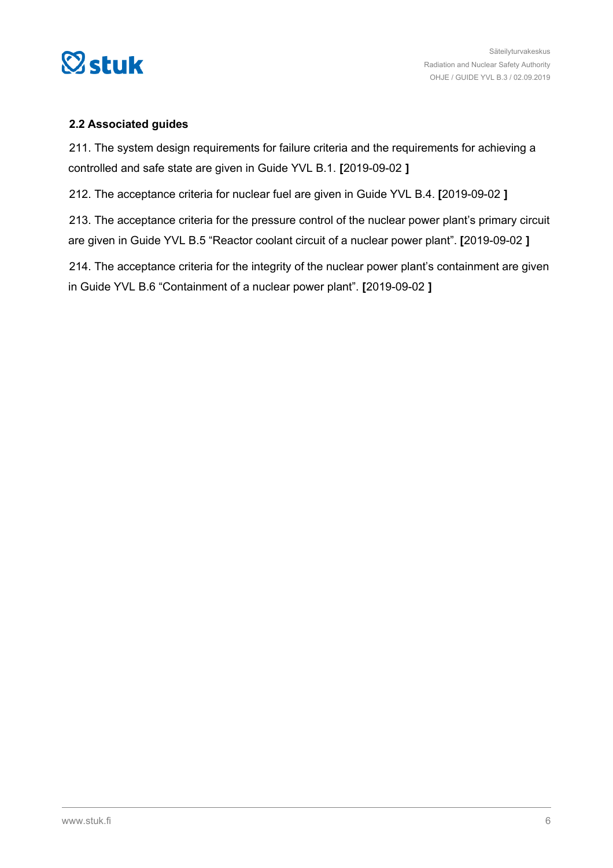<span id="page-5-0"></span>

### **2.2 Associated guides**

211. The system design requirements for failure criteria and the requirements for achieving a controlled and safe state are given in Guide YVL B.1. **[**2019-09-02 **]**

212. The acceptance criteria for nuclear fuel are given in Guide YVL B.4. **[**2019-09-02 **]**

213. The acceptance criteria for the pressure control of the nuclear power plant's primary circuit are given in Guide YVL B.5 "Reactor coolant circuit of a nuclear power plant". **[**2019-09-02 **]**

214. The acceptance criteria for the integrity of the nuclear power plant's containment are given in Guide YVL B.6 "Containment of a nuclear power plant". **[**2019-09-02 **]**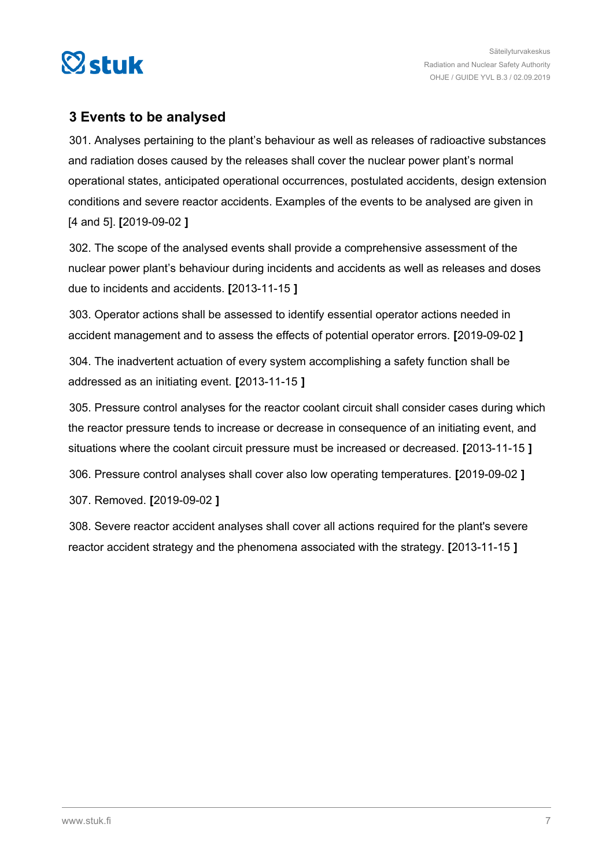<span id="page-6-0"></span>

### **3 Events to be analysed**

301. Analyses pertaining to the plant's behaviour as well as releases of radioactive substances and radiation doses caused by the releases shall cover the nuclear power plant's normal operational states, anticipated operational occurrences, postulated accidents, design extension conditions and severe reactor accidents. Examples of the events to be analysed are given in [4 and 5]. **[**2019-09-02 **]**

302. The scope of the analysed events shall provide a comprehensive assessment of the nuclear power plant's behaviour during incidents and accidents as well as releases and doses due to incidents and accidents. **[**2013-11-15 **]**

303. Operator actions shall be assessed to identify essential operator actions needed in accident management and to assess the effects of potential operator errors. **[**2019-09-02 **]**

304. The inadvertent actuation of every system accomplishing a safety function shall be addressed as an initiating event. **[**2013-11-15 **]**

305. Pressure control analyses for the reactor coolant circuit shall consider cases during which the reactor pressure tends to increase or decrease in consequence of an initiating event, and situations where the coolant circuit pressure must be increased or decreased. **[**2013-11-15 **]**

306. Pressure control analyses shall cover also low operating temperatures. **[**2019-09-02 **]**

307. Removed. **[**2019-09-02 **]**

308. Severe reactor accident analyses shall cover all actions required for the plant's severe reactor accident strategy and the phenomena associated with the strategy. **[**2013-11-15 **]**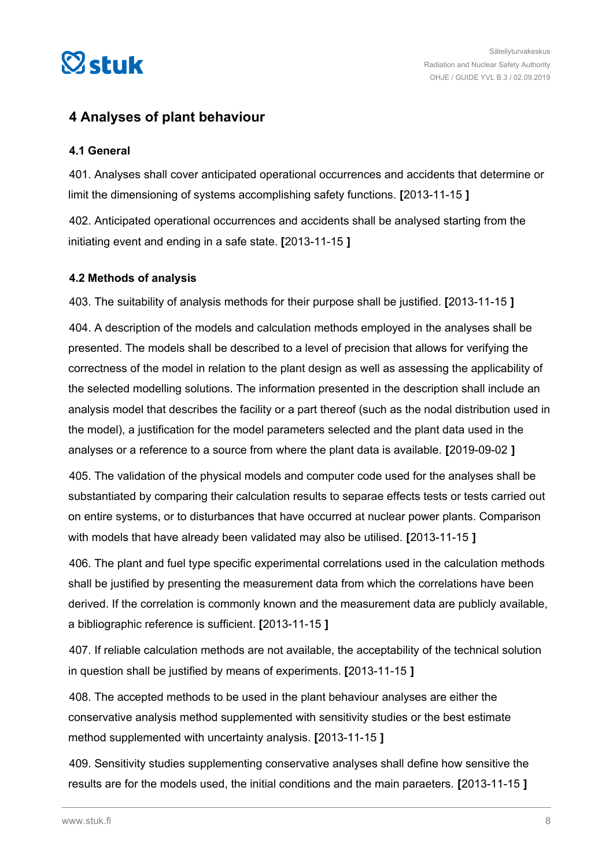<span id="page-7-0"></span>

### **4 Analyses of plant behaviour**

### **4.1 General**

401. Analyses shall cover anticipated operational occurrences and accidents that determine or limit the dimensioning of systems accomplishing safety functions. **[**2013-11-15 **]**

402. Anticipated operational occurrences and accidents shall be analysed starting from the initiating event and ending in a safe state. **[**2013-11-15 **]**

### **4.2 Methods of analysis**

403. The suitability of analysis methods for their purpose shall be justified. **[**2013-11-15 **]**

404. A description of the models and calculation methods employed in the analyses shall be presented. The models shall be described to a level of precision that allows for verifying the correctness of the model in relation to the plant design as well as assessing the applicability of the selected modelling solutions. The information presented in the description shall include an analysis model that describes the facility or a part thereof (such as the nodal distribution used in the model), a justification for the model parameters selected and the plant data used in the analyses or a reference to a source from where the plant data is available. **[**2019-09-02 **]**

405. The validation of the physical models and computer code used for the analyses shall be substantiated by comparing their calculation results to separae effects tests or tests carried out on entire systems, or to disturbances that have occurred at nuclear power plants. Comparison with models that have already been validated may also be utilised. **[**2013-11-15 **]**

406. The plant and fuel type specific experimental correlations used in the calculation methods shall be justified by presenting the measurement data from which the correlations have been derived. If the correlation is commonly known and the measurement data are publicly available, a bibliographic reference is sufficient. **[**2013-11-15 **]**

407. If reliable calculation methods are not available, the acceptability of the technical solution in question shall be justified by means of experiments. **[**2013-11-15 **]**

408. The accepted methods to be used in the plant behaviour analyses are either the conservative analysis method supplemented with sensitivity studies or the best estimate method supplemented with uncertainty analysis. **[**2013-11-15 **]**

409. Sensitivity studies supplementing conservative analyses shall define how sensitive the results are for the models used, the initial conditions and the main paraeters. **[**2013-11-15 **]**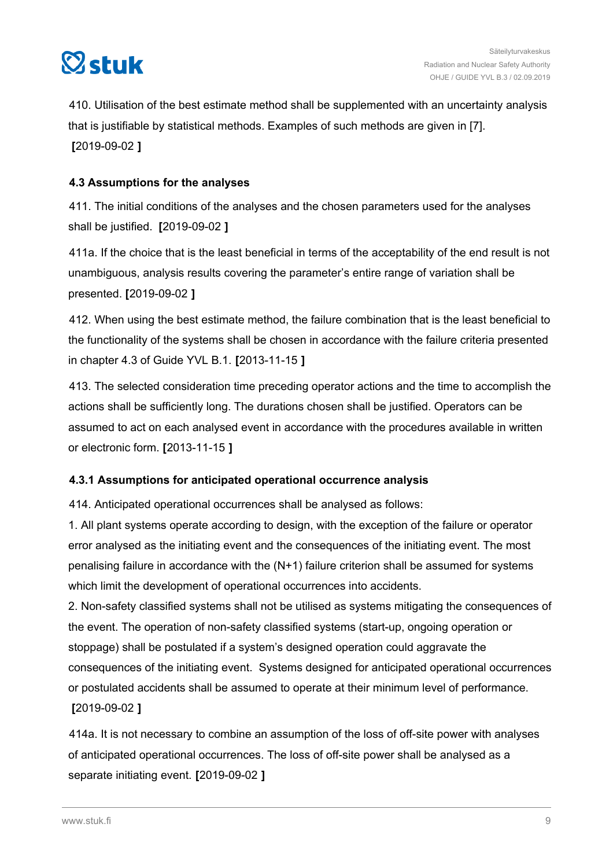<span id="page-8-0"></span>

410. Utilisation of the best estimate method shall be supplemented with an uncertainty analysis that is justifiable by statistical methods. Examples of such methods are given in [7]. **[**2019-09-02 **]**

### **4.3 Assumptions for the analyses**

411. The initial conditions of the analyses and the chosen parameters used for the analyses shall be justified. **[**2019-09-02 **]**

411a. If the choice that is the least beneficial in terms of the acceptability of the end result is not unambiguous, analysis results covering the parameter's entire range of variation shall be presented. **[**2019-09-02 **]**

412. When using the best estimate method, the failure combination that is the least beneficial to the functionality of the systems shall be chosen in accordance with the failure criteria presented in chapter 4.3 of Guide YVL B.1. **[**2013-11-15 **]**

413. The selected consideration time preceding operator actions and the time to accomplish the actions shall be sufficiently long. The durations chosen shall be justified. Operators can be assumed to act on each analysed event in accordance with the procedures available in written or electronic form. **[**2013-11-15 **]**

### **4.3.1 Assumptions for anticipated operational occurrence analysis**

414. Anticipated operational occurrences shall be analysed as follows:

1. All plant systems operate according to design, with the exception of the failure or operator error analysed as the initiating event and the consequences of the initiating event. The most penalising failure in accordance with the (N+1) failure criterion shall be assumed for systems which limit the development of operational occurrences into accidents.

2. Non-safety classified systems shall not be utilised as systems mitigating the consequences of the event. The operation of non-safety classified systems (start-up, ongoing operation or stoppage) shall be postulated if a system's designed operation could aggravate the consequences of the initiating event. Systems designed for anticipated operational occurrences or postulated accidents shall be assumed to operate at their minimum level of performance. **[**2019-09-02 **]**

414a. It is not necessary to combine an assumption of the loss of off-site power with analyses of anticipated operational occurrences. The loss of off-site power shall be analysed as a separate initiating event. **[**2019-09-02 **]**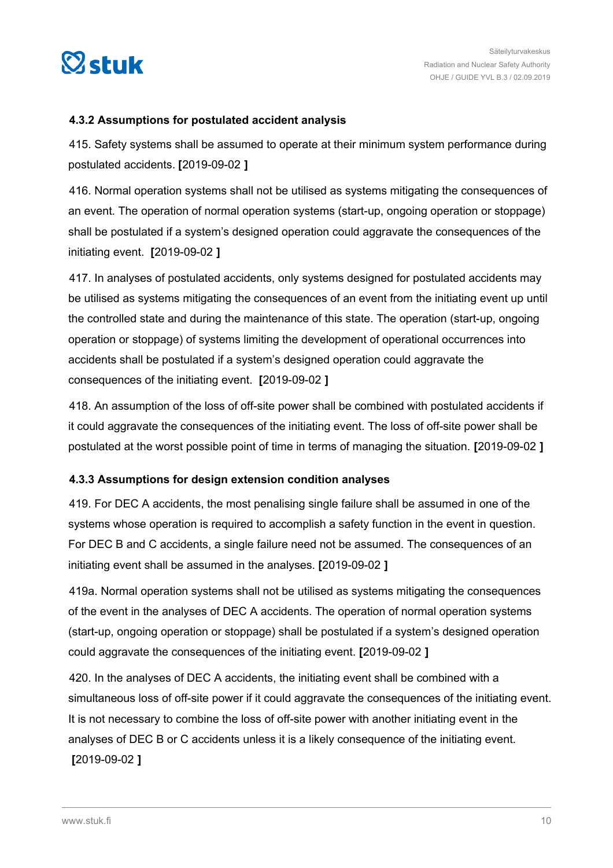<span id="page-9-0"></span>

### **4.3.2 Assumptions for postulated accident analysis**

415. Safety systems shall be assumed to operate at their minimum system performance during postulated accidents. **[**2019-09-02 **]**

416. Normal operation systems shall not be utilised as systems mitigating the consequences of an event. The operation of normal operation systems (start-up, ongoing operation or stoppage) shall be postulated if a system's designed operation could aggravate the consequences of the initiating event. **[**2019-09-02 **]**

417. In analyses of postulated accidents, only systems designed for postulated accidents may be utilised as systems mitigating the consequences of an event from the initiating event up until the controlled state and during the maintenance of this state. The operation (start-up, ongoing operation or stoppage) of systems limiting the development of operational occurrences into accidents shall be postulated if a system's designed operation could aggravate the consequences of the initiating event. **[**2019-09-02 **]**

418. An assumption of the loss of off-site power shall be combined with postulated accidents if it could aggravate the consequences of the initiating event. The loss of off-site power shall be postulated at the worst possible point of time in terms of managing the situation. **[**2019-09-02 **]**

### **4.3.3 Assumptions for design extension condition analyses**

419. For DEC A accidents, the most penalising single failure shall be assumed in one of the systems whose operation is required to accomplish a safety function in the event in question. For DEC B and C accidents, a single failure need not be assumed. The consequences of an initiating event shall be assumed in the analyses. **[**2019-09-02 **]**

419a. Normal operation systems shall not be utilised as systems mitigating the consequences of the event in the analyses of DEC A accidents. The operation of normal operation systems (start-up, ongoing operation or stoppage) shall be postulated if a system's designed operation could aggravate the consequences of the initiating event. **[**2019-09-02 **]**

420. In the analyses of DEC A accidents, the initiating event shall be combined with a simultaneous loss of off-site power if it could aggravate the consequences of the initiating event. It is not necessary to combine the loss of off-site power with another initiating event in the analyses of DEC B or C accidents unless it is a likely consequence of the initiating event. **[**2019-09-02 **]**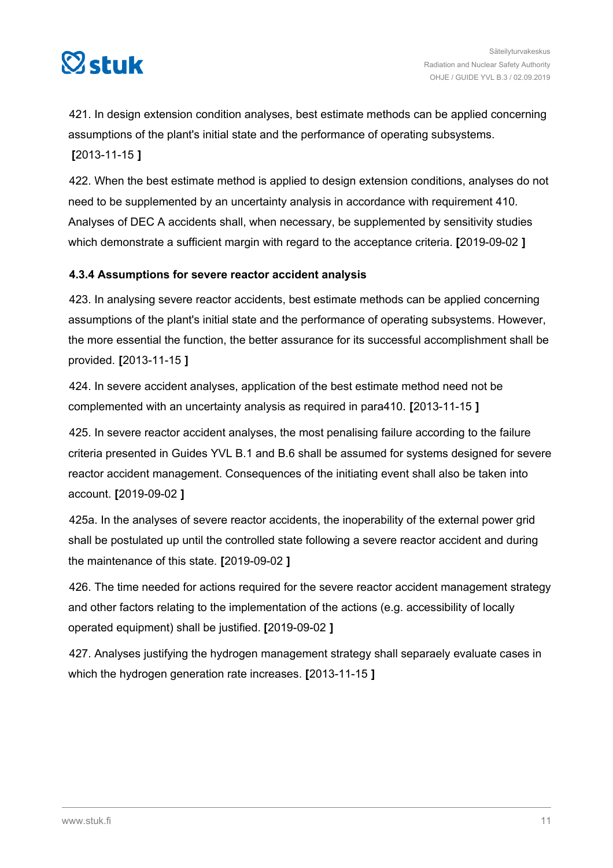<span id="page-10-0"></span>

421. In design extension condition analyses, best estimate methods can be applied concerning assumptions of the plant's initial state and the performance of operating subsystems. **[**2013-11-15 **]**

422. When the best estimate method is applied to design extension conditions, analyses do not need to be supplemented by an uncertainty analysis in accordance with requirement 410. Analyses of DEC A accidents shall, when necessary, be supplemented by sensitivity studies which demonstrate a sufficient margin with regard to the acceptance criteria. **[**2019-09-02 **]**

### **4.3.4 Assumptions for severe reactor accident analysis**

423. In analysing severe reactor accidents, best estimate methods can be applied concerning assumptions of the plant's initial state and the performance of operating subsystems. However, the more essential the function, the better assurance for its successful accomplishment shall be provided. **[**2013-11-15 **]**

424. In severe accident analyses, application of the best estimate method need not be complemented with an uncertainty analysis as required in para410. **[**2013-11-15 **]**

425. In severe reactor accident analyses, the most penalising failure according to the failure criteria presented in Guides YVL B.1 and B.6 shall be assumed for systems designed for severe reactor accident management. Consequences of the initiating event shall also be taken into account. **[**2019-09-02 **]**

425a. In the analyses of severe reactor accidents, the inoperability of the external power grid shall be postulated up until the controlled state following a severe reactor accident and during the maintenance of this state. **[**2019-09-02 **]**

426. The time needed for actions required for the severe reactor accident management strategy and other factors relating to the implementation of the actions (e.g. accessibility of locally operated equipment) shall be justified. **[**2019-09-02 **]**

427. Analyses justifying the hydrogen management strategy shall separaely evaluate cases in which the hydrogen generation rate increases. **[**2013-11-15 **]**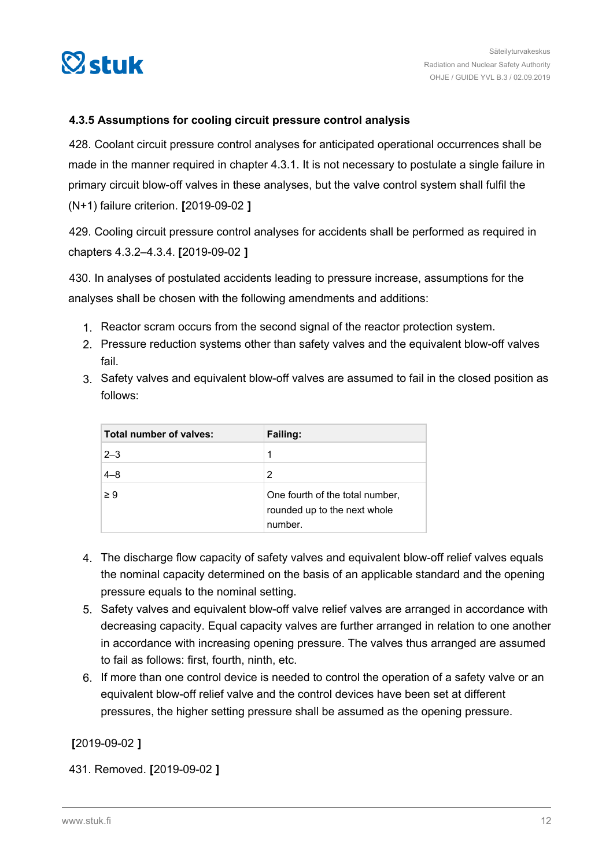<span id="page-11-0"></span>

### **4.3.5 Assumptions for cooling circuit pressure control analysis**

428. Coolant circuit pressure control analyses for anticipated operational occurrences shall be made in the manner required in chapter 4.3.1. It is not necessary to postulate a single failure in primary circuit blow-off valves in these analyses, but the valve control system shall fulfil the (N+1) failure criterion. **[**2019-09-02 **]**

429. Cooling circuit pressure control analyses for accidents shall be performed as required in chapters 4.3.2–4.3.4. **[**2019-09-02 **]**

430. In analyses of postulated accidents leading to pressure increase, assumptions for the analyses shall be chosen with the following amendments and additions:

- 1. Reactor scram occurs from the second signal of the reactor protection system.
- 2. Pressure reduction systems other than safety valves and the equivalent blow-off valves fail.
- 3. Safety valves and equivalent blow-off valves are assumed to fail in the closed position as follows:

| Total number of valves: | Failing:                                                                   |
|-------------------------|----------------------------------------------------------------------------|
| $2 - 3$                 | 1                                                                          |
| $4 - 8$                 | 2                                                                          |
| $\geq 9$                | One fourth of the total number,<br>rounded up to the next whole<br>number. |

- 4. The discharge flow capacity of safety valves and equivalent blow-off relief valves equals the nominal capacity determined on the basis of an applicable standard and the opening pressure equals to the nominal setting.
- 5. Safety valves and equivalent blow-off valve relief valves are arranged in accordance with decreasing capacity. Equal capacity valves are further arranged in relation to one another in accordance with increasing opening pressure. The valves thus arranged are assumed to fail as follows: first, fourth, ninth, etc.
- 6. If more than one control device is needed to control the operation of a safety valve or an equivalent blow-off relief valve and the control devices have been set at different pressures, the higher setting pressure shall be assumed as the opening pressure.

**[**2019-09-02 **]**

431. Removed. **[**2019-09-02 **]**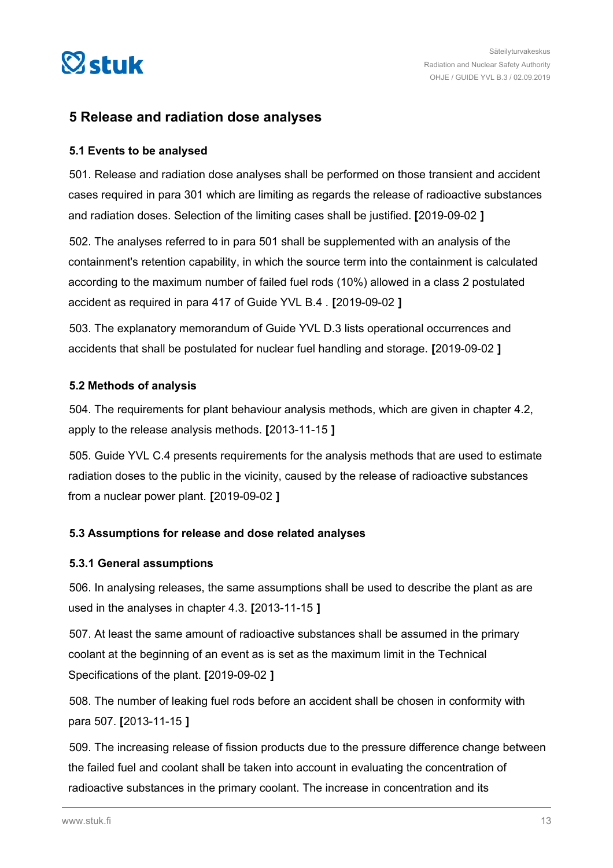<span id="page-12-0"></span>

### **5 Release and radiation dose analyses**

### **5.1 Events to be analysed**

501. Release and radiation dose analyses shall be performed on those transient and accident cases required in para 301 which are limiting as regards the release of radioactive substances and radiation doses. Selection of the limiting cases shall be justified. **[**2019-09-02 **]**

502. The analyses referred to in para 501 shall be supplemented with an analysis of the containment's retention capability, in which the source term into the containment is calculated according to the maximum number of failed fuel rods (10%) allowed in a class 2 postulated accident as required in para 417 of Guide YVL B.4 . **[**2019-09-02 **]**

503. The explanatory memorandum of Guide YVL D.3 lists operational occurrences and accidents that shall be postulated for nuclear fuel handling and storage. **[**2019-09-02 **]**

### **5.2 Methods of analysis**

504. The requirements for plant behaviour analysis methods, which are given in chapter 4.2, apply to the release analysis methods. **[**2013-11-15 **]**

505. Guide YVL C.4 presents requirements for the analysis methods that are used to estimate radiation doses to the public in the vicinity, caused by the release of radioactive substances from a nuclear power plant. **[**2019-09-02 **]**

### **5.3 Assumptions for release and dose related analyses**

#### **5.3.1 General assumptions**

506. In analysing releases, the same assumptions shall be used to describe the plant as are used in the analyses in chapter 4.3. **[**2013-11-15 **]**

507. At least the same amount of radioactive substances shall be assumed in the primary coolant at the beginning of an event as is set as the maximum limit in the Technical Specifications of the plant. **[**2019-09-02 **]**

508. The number of leaking fuel rods before an accident shall be chosen in conformity with para 507. **[**2013-11-15 **]**

509. The increasing release of fission products due to the pressure difference change between the failed fuel and coolant shall be taken into account in evaluating the concentration of radioactive substances in the primary coolant. The increase in concentration and its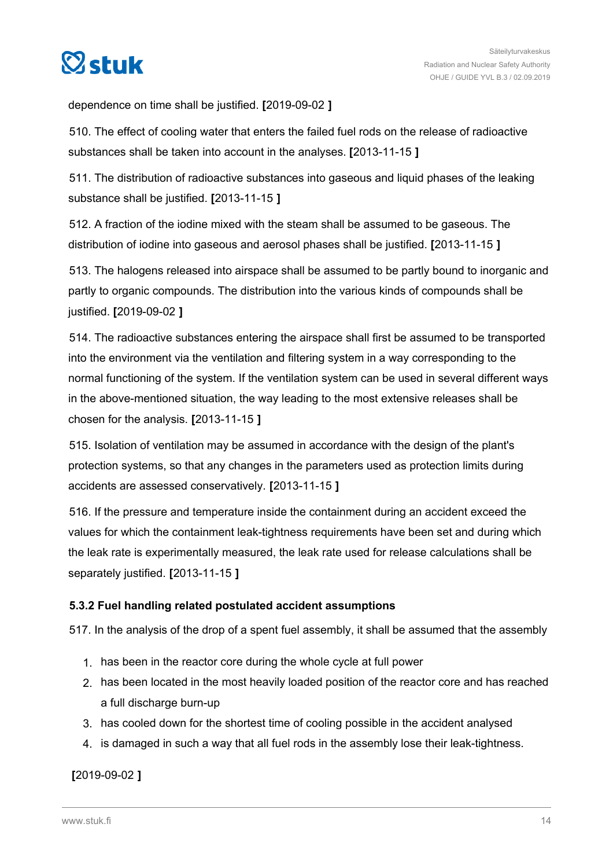<span id="page-13-0"></span>

dependence on time shall be justified. **[**2019-09-02 **]**

510. The effect of cooling water that enters the failed fuel rods on the release of radioactive substances shall be taken into account in the analyses. **[**2013-11-15 **]**

511. The distribution of radioactive substances into gaseous and liquid phases of the leaking substance shall be justified. **[**2013-11-15 **]**

512. A fraction of the iodine mixed with the steam shall be assumed to be gaseous. The distribution of iodine into gaseous and aerosol phases shall be justified. **[**2013-11-15 **]**

513. The halogens released into airspace shall be assumed to be partly bound to inorganic and partly to organic compounds. The distribution into the various kinds of compounds shall be justified. **[**2019-09-02 **]**

514. The radioactive substances entering the airspace shall first be assumed to be transported into the environment via the ventilation and filtering system in a way corresponding to the normal functioning of the system. If the ventilation system can be used in several different ways in the above-mentioned situation, the way leading to the most extensive releases shall be chosen for the analysis. **[**2013-11-15 **]**

515. Isolation of ventilation may be assumed in accordance with the design of the plant's protection systems, so that any changes in the parameters used as protection limits during accidents are assessed conservatively. **[**2013-11-15 **]**

516. If the pressure and temperature inside the containment during an accident exceed the values for which the containment leak-tightness requirements have been set and during which the leak rate is experimentally measured, the leak rate used for release calculations shall be separately justified. **[**2013-11-15 **]**

### **5.3.2 Fuel handling related postulated accident assumptions**

517. In the analysis of the drop of a spent fuel assembly, it shall be assumed that the assembly

- 1. has been in the reactor core during the whole cycle at full power
- 2. has been located in the most heavily loaded position of the reactor core and has reached a full discharge burn-up
- 3. has cooled down for the shortest time of cooling possible in the accident analysed
- 4. is damaged in such a way that all fuel rods in the assembly lose their leak-tightness.

**[**2019-09-02 **]**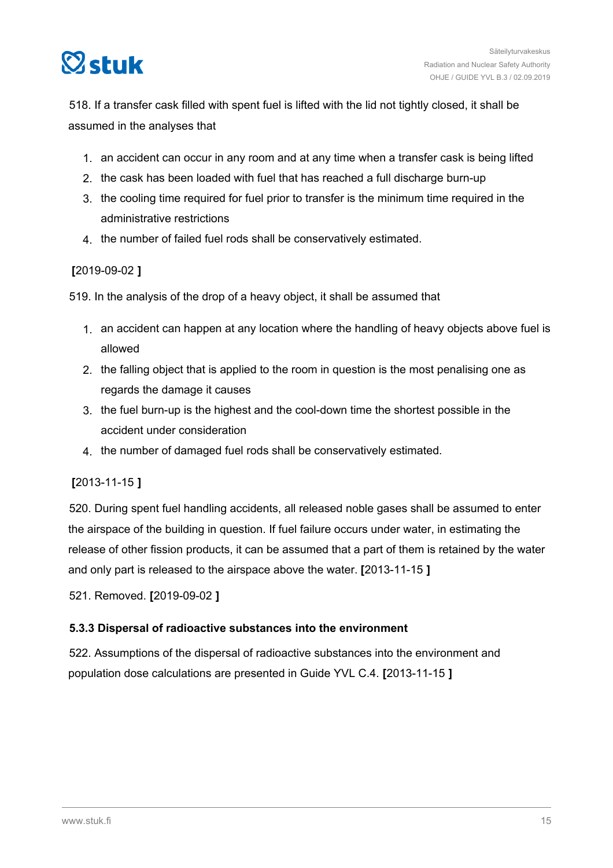<span id="page-14-0"></span>

518. If a transfer cask filled with spent fuel is lifted with the lid not tightly closed, it shall be assumed in the analyses that

- 1. an accident can occur in any room and at any time when a transfer cask is being lifted
- 2. the cask has been loaded with fuel that has reached a full discharge burn-up
- 3. the cooling time required for fuel prior to transfer is the minimum time required in the administrative restrictions
- 4. the number of failed fuel rods shall be conservatively estimated.

### **[**2019-09-02 **]**

519. In the analysis of the drop of a heavy object, it shall be assumed that

- 1. an accident can happen at any location where the handling of heavy objects above fuel is allowed
- 2. the falling object that is applied to the room in question is the most penalising one as regards the damage it causes
- 3. the fuel burn-up is the highest and the cool-down time the shortest possible in the accident under consideration
- 4. the number of damaged fuel rods shall be conservatively estimated.

### **[**2013-11-15 **]**

520. During spent fuel handling accidents, all released noble gases shall be assumed to enter the airspace of the building in question. If fuel failure occurs under water, in estimating the release of other fission products, it can be assumed that a part of them is retained by the water and only part is released to the airspace above the water. **[**2013-11-15 **]**

521. Removed. **[**2019-09-02 **]**

### **5.3.3 Dispersal of radioactive substances into the environment**

522. Assumptions of the dispersal of radioactive substances into the environment and population dose calculations are presented in Guide YVL C.4. **[**2013-11-15 **]**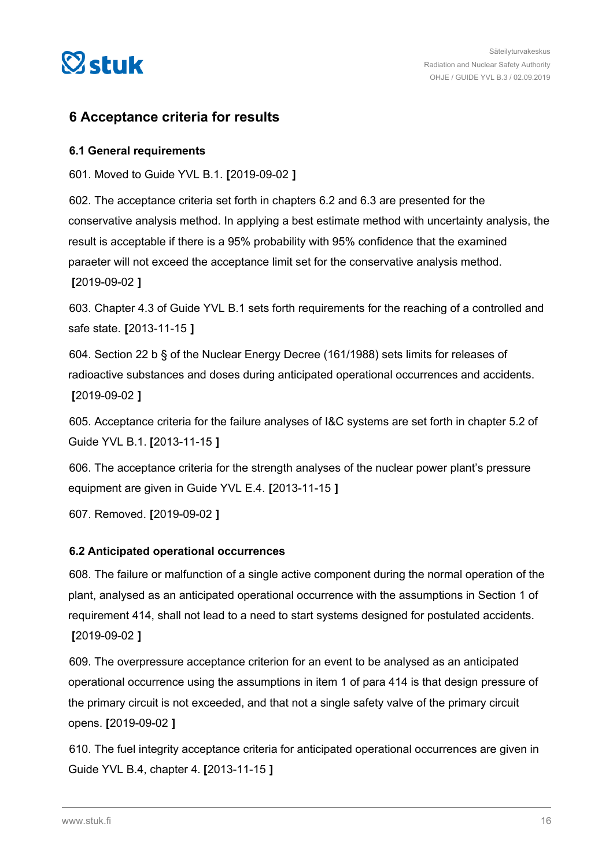<span id="page-15-0"></span>

### **6 Acceptance criteria for results**

### **6.1 General requirements**

601. Moved to Guide YVL B.1. **[**2019-09-02 **]**

602. The acceptance criteria set forth in chapters 6.2 and 6.3 are presented for the conservative analysis method. In applying a best estimate method with uncertainty analysis, the result is acceptable if there is a 95% probability with 95% confidence that the examined paraeter will not exceed the acceptance limit set for the conservative analysis method. **[**2019-09-02 **]**

603. Chapter 4.3 of Guide YVL B.1 sets forth requirements for the reaching of a controlled and safe state. **[**2013-11-15 **]**

604. Section 22 b § of the Nuclear Energy Decree (161/1988) sets limits for releases of radioactive substances and doses during anticipated operational occurrences and accidents. **[**2019-09-02 **]**

605. Acceptance criteria for the failure analyses of I&C systems are set forth in chapter 5.2 of Guide YVL B.1. **[**2013-11-15 **]**

606. The acceptance criteria for the strength analyses of the nuclear power plant's pressure equipment are given in Guide YVL E.4. **[**2013-11-15 **]**

607. Removed. **[**2019-09-02 **]**

### **6.2 Anticipated operational occurrences**

608. The failure or malfunction of a single active component during the normal operation of the plant, analysed as an anticipated operational occurrence with the assumptions in Section 1 of requirement 414, shall not lead to a need to start systems designed for postulated accidents. **[**2019-09-02 **]**

609. The overpressure acceptance criterion for an event to be analysed as an anticipated operational occurrence using the assumptions in item 1 of para 414 is that design pressure of the primary circuit is not exceeded, and that not a single safety valve of the primary circuit opens. **[**2019-09-02 **]**

610. The fuel integrity acceptance criteria for anticipated operational occurrences are given in Guide YVL B.4, chapter 4. **[**2013-11-15 **]**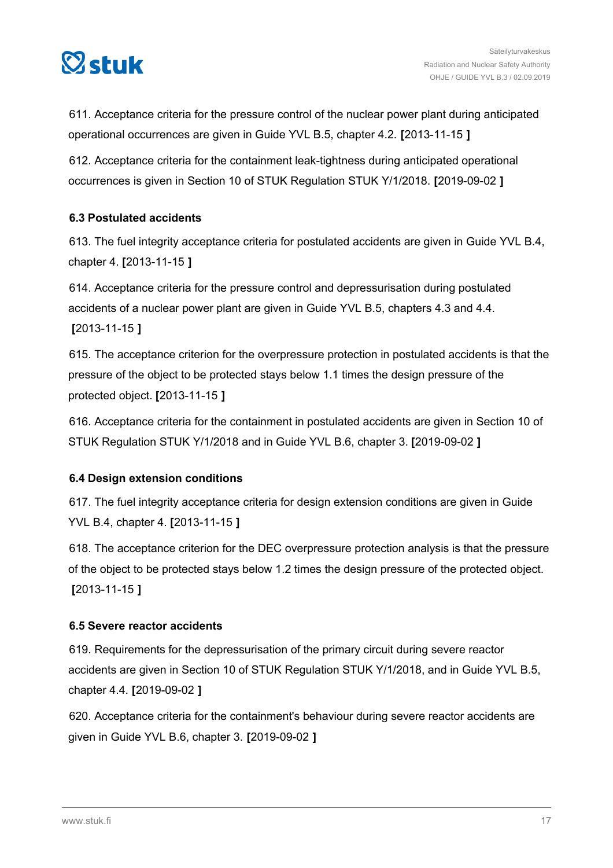<span id="page-16-0"></span>

611. Acceptance criteria for the pressure control of the nuclear power plant during anticipated operational occurrences are given in Guide YVL B.5, chapter 4.2. **[**2013-11-15 **]**

612. Acceptance criteria for the containment leak-tightness during anticipated operational occurrences is given in Section 10 of STUK Regulation STUK Y/1/2018. **[**2019-09-02 **]**

### **6.3 Postulated accidents**

613. The fuel integrity acceptance criteria for postulated accidents are given in Guide YVL B.4, chapter 4. **[**2013-11-15 **]**

614. Acceptance criteria for the pressure control and depressurisation during postulated accidents of a nuclear power plant are given in Guide YVL B.5, chapters 4.3 and 4.4. **[**2013-11-15 **]**

615. The acceptance criterion for the overpressure protection in postulated accidents is that the pressure of the object to be protected stays below 1.1 times the design pressure of the protected object. **[**2013-11-15 **]**

616. Acceptance criteria for the containment in postulated accidents are given in Section 10 of STUK Regulation STUK Y/1/2018 and in Guide YVL B.6, chapter 3. **[**2019-09-02 **]**

### **6.4 Design extension conditions**

617. The fuel integrity acceptance criteria for design extension conditions are given in Guide YVL B.4, chapter 4. **[**2013-11-15 **]**

618. The acceptance criterion for the DEC overpressure protection analysis is that the pressure of the object to be protected stays below 1.2 times the design pressure of the protected object. **[**2013-11-15 **]**

### **6.5 Severe reactor accidents**

619. Requirements for the depressurisation of the primary circuit during severe reactor accidents are given in Section 10 of STUK Regulation STUK Y/1/2018, and in Guide YVL B.5, chapter 4.4. **[**2019-09-02 **]**

620. Acceptance criteria for the containment's behaviour during severe reactor accidents are given in Guide YVL B.6, chapter 3. **[**2019-09-02 **]**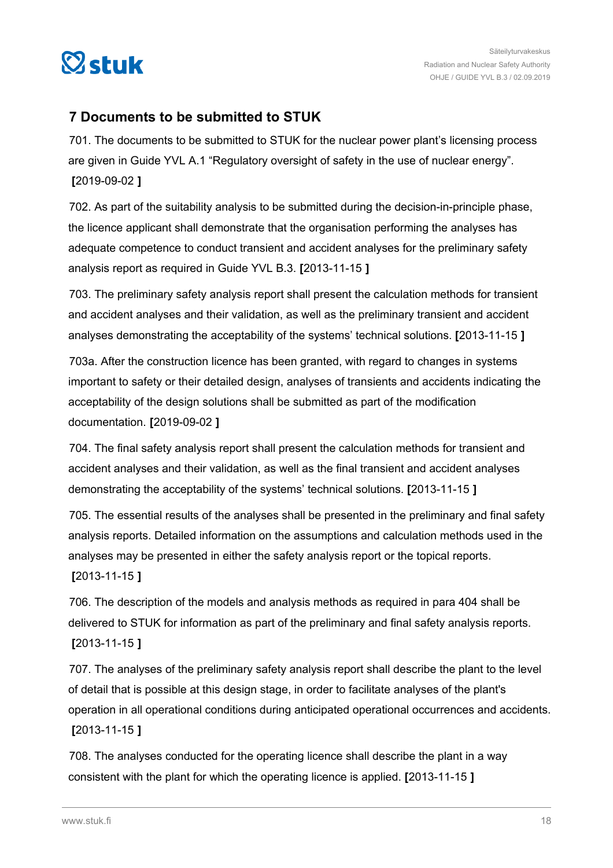<span id="page-17-0"></span>

### **7 Documents to be submitted to STUK**

701. The documents to be submitted to STUK for the nuclear power plant's licensing process are given in Guide YVL A.1 "Regulatory oversight of safety in the use of nuclear energy". **[**2019-09-02 **]**

702. As part of the suitability analysis to be submitted during the decision-in-principle phase, the licence applicant shall demonstrate that the organisation performing the analyses has adequate competence to conduct transient and accident analyses for the preliminary safety analysis report as required in Guide YVL B.3. **[**2013-11-15 **]**

703. The preliminary safety analysis report shall present the calculation methods for transient and accident analyses and their validation, as well as the preliminary transient and accident analyses demonstrating the acceptability of the systems' technical solutions. **[**2013-11-15 **]**

703a. After the construction licence has been granted, with regard to changes in systems important to safety or their detailed design, analyses of transients and accidents indicating the acceptability of the design solutions shall be submitted as part of the modification documentation. **[**2019-09-02 **]**

704. The final safety analysis report shall present the calculation methods for transient and accident analyses and their validation, as well as the final transient and accident analyses demonstrating the acceptability of the systems' technical solutions. **[**2013-11-15 **]**

705. The essential results of the analyses shall be presented in the preliminary and final safety analysis reports. Detailed information on the assumptions and calculation methods used in the analyses may be presented in either the safety analysis report or the topical reports.

**[**2013-11-15 **]**

706. The description of the models and analysis methods as required in para 404 shall be delivered to STUK for information as part of the preliminary and final safety analysis reports. **[**2013-11-15 **]**

707. The analyses of the preliminary safety analysis report shall describe the plant to the level of detail that is possible at this design stage, in order to facilitate analyses of the plant's operation in all operational conditions during anticipated operational occurrences and accidents. **[**2013-11-15 **]**

708. The analyses conducted for the operating licence shall describe the plant in a way consistent with the plant for which the operating licence is applied. **[**2013-11-15 **]**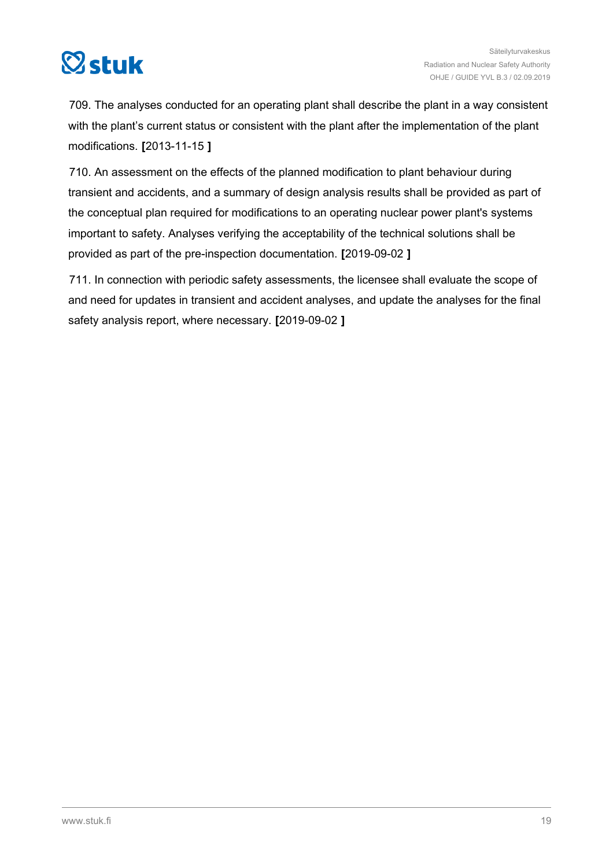

709. The analyses conducted for an operating plant shall describe the plant in a way consistent with the plant's current status or consistent with the plant after the implementation of the plant modifications. **[**2013-11-15 **]**

710. An assessment on the effects of the planned modification to plant behaviour during transient and accidents, and a summary of design analysis results shall be provided as part of the conceptual plan required for modifications to an operating nuclear power plant's systems important to safety. Analyses verifying the acceptability of the technical solutions shall be provided as part of the pre-inspection documentation. **[**2019-09-02 **]**

711. In connection with periodic safety assessments, the licensee shall evaluate the scope of and need for updates in transient and accident analyses, and update the analyses for the final safety analysis report, where necessary. **[**2019-09-02 **]**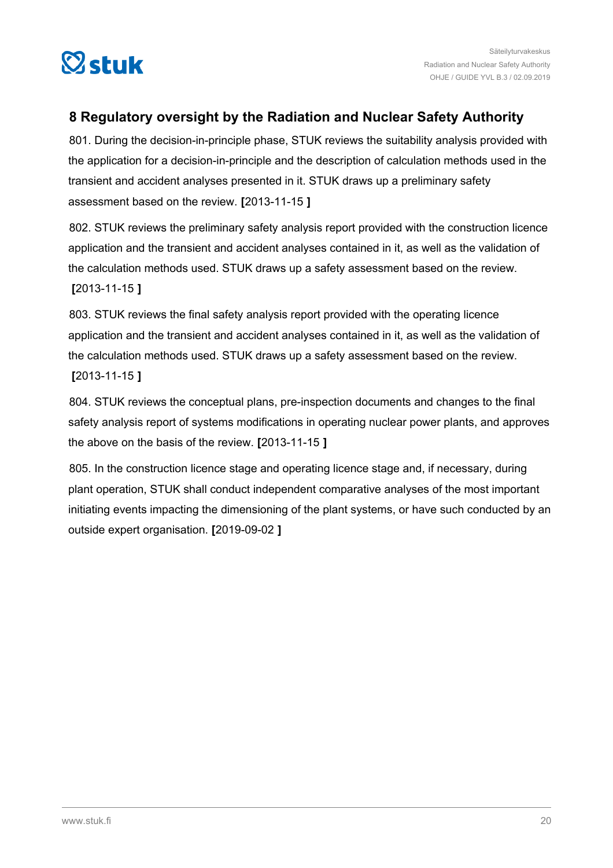<span id="page-19-0"></span>

### **8 Regulatory oversight by the Radiation and Nuclear Safety Authority**

801. During the decision-in-principle phase, STUK reviews the suitability analysis provided with the application for a decision-in-principle and the description of calculation methods used in the transient and accident analyses presented in it. STUK draws up a preliminary safety assessment based on the review. **[**2013-11-15 **]**

802. STUK reviews the preliminary safety analysis report provided with the construction licence application and the transient and accident analyses contained in it, as well as the validation of the calculation methods used. STUK draws up a safety assessment based on the review. **[**2013-11-15 **]**

803. STUK reviews the final safety analysis report provided with the operating licence application and the transient and accident analyses contained in it, as well as the validation of the calculation methods used. STUK draws up a safety assessment based on the review. **[**2013-11-15 **]**

804. STUK reviews the conceptual plans, pre-inspection documents and changes to the final safety analysis report of systems modifications in operating nuclear power plants, and approves the above on the basis of the review. **[**2013-11-15 **]**

805. In the construction licence stage and operating licence stage and, if necessary, during plant operation, STUK shall conduct independent comparative analyses of the most important initiating events impacting the dimensioning of the plant systems, or have such conducted by an outside expert organisation. **[**2019-09-02 **]**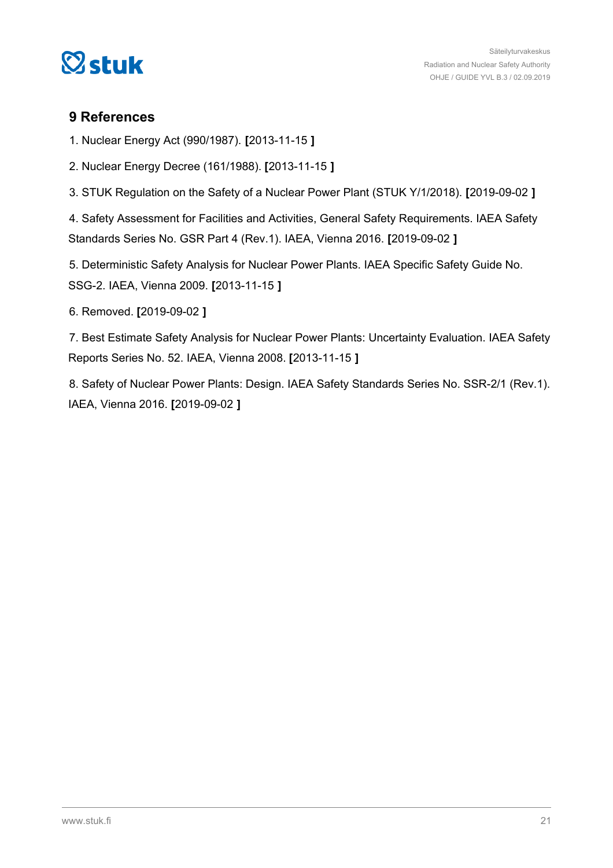<span id="page-20-0"></span>

### **9 References**

1. Nuclear Energy Act (990/1987). **[**2013-11-15 **]**

2. Nuclear Energy Decree (161/1988). **[**2013-11-15 **]**

3. STUK Regulation on the Safety of a Nuclear Power Plant (STUK Y/1/2018). **[**2019-09-02 **]**

4. Safety Assessment for Facilities and Activities, General Safety Requirements. IAEA Safety Standards Series No. GSR Part 4 (Rev.1). IAEA, Vienna 2016. **[**2019-09-02 **]**

5. Deterministic Safety Analysis for Nuclear Power Plants. IAEA Specific Safety Guide No. SSG-2. IAEA, Vienna 2009. **[**2013-11-15 **]**

6. Removed. **[**2019-09-02 **]**

7. Best Estimate Safety Analysis for Nuclear Power Plants: Uncertainty Evaluation. IAEA Safety Reports Series No. 52. IAEA, Vienna 2008. **[**2013-11-15 **]**

8. Safety of Nuclear Power Plants: Design. IAEA Safety Standards Series No. SSR-2/1 (Rev.1). IAEA, Vienna 2016. **[**2019-09-02 **]**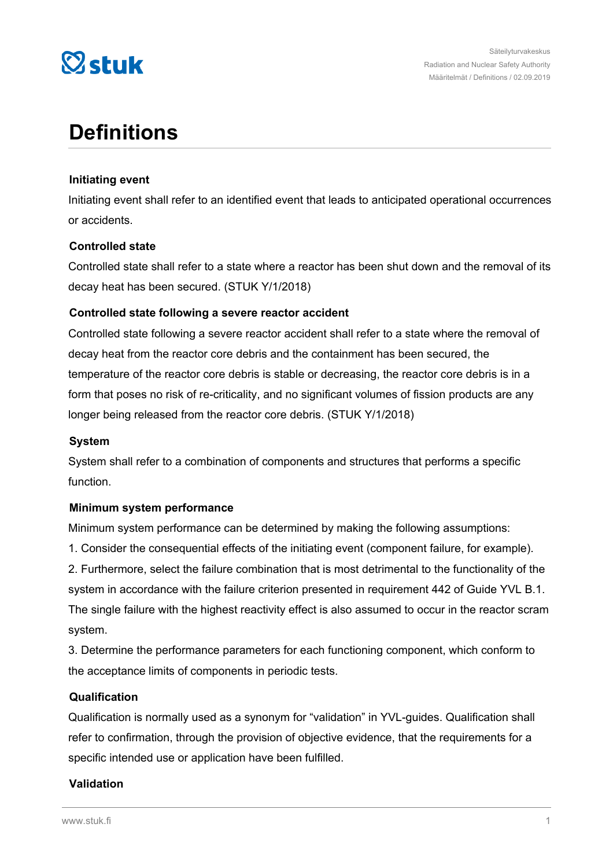

# **Definitions**

### **Initiating event**

Initiating event shall refer to an identified event that leads to anticipated operational occurrences or accidents.

### **Controlled state**

Controlled state shall refer to a state where a reactor has been shut down and the removal of its decay heat has been secured. (STUK Y/1/2018)

### **Controlled state following a severe reactor accident**

Controlled state following a severe reactor accident shall refer to a state where the removal of decay heat from the reactor core debris and the containment has been secured, the temperature of the reactor core debris is stable or decreasing, the reactor core debris is in a form that poses no risk of re-criticality, and no significant volumes of fission products are any longer being released from the reactor core debris. (STUK Y/1/2018)

#### **System**

System shall refer to a combination of components and structures that performs a specific function.

### **Minimum system performance**

Minimum system performance can be determined by making the following assumptions:

1. Consider the consequential effects of the initiating event (component failure, for example).

2. Furthermore, select the failure combination that is most detrimental to the functionality of the system in accordance with the failure criterion presented in requirement 442 of Guide YVL B.1. The single failure with the highest reactivity effect is also assumed to occur in the reactor scram system.

3. Determine the performance parameters for each functioning component, which conform to the acceptance limits of components in periodic tests.

### **Qualification**

Qualification is normally used as a synonym for "validation" in YVL-guides. Qualification shall refer to confirmation, through the provision of objective evidence, that the requirements for a specific intended use or application have been fulfilled.

### **Validation**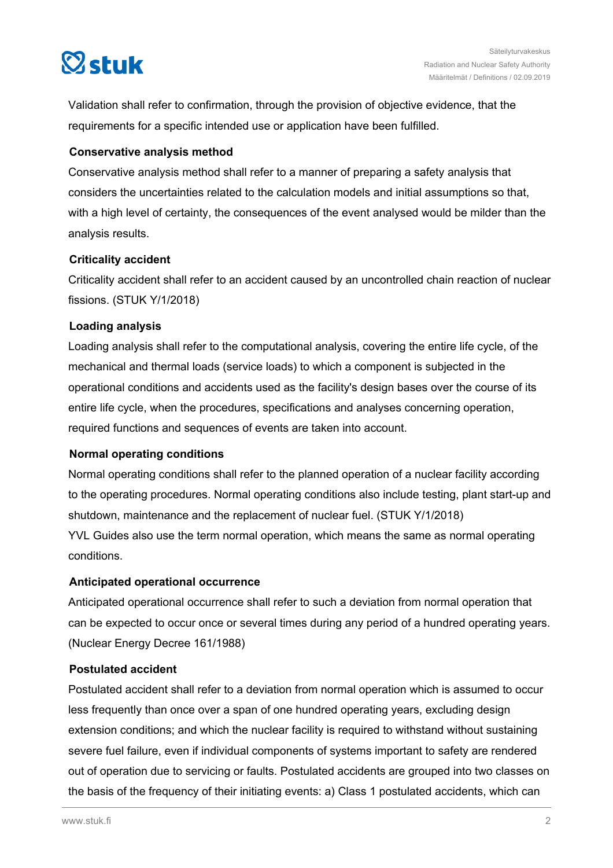

Validation shall refer to confirmation, through the provision of objective evidence, that the requirements for a specific intended use or application have been fulfilled.

### **Conservative analysis method**

Conservative analysis method shall refer to a manner of preparing a safety analysis that considers the uncertainties related to the calculation models and initial assumptions so that, with a high level of certainty, the consequences of the event analysed would be milder than the analysis results.

### **Criticality accident**

Criticality accident shall refer to an accident caused by an uncontrolled chain reaction of nuclear fissions. (STUK Y/1/2018)

### **Loading analysis**

Loading analysis shall refer to the computational analysis, covering the entire life cycle, of the mechanical and thermal loads (service loads) to which a component is subjected in the operational conditions and accidents used as the facility's design bases over the course of its entire life cycle, when the procedures, specifications and analyses concerning operation, required functions and sequences of events are taken into account.

#### **Normal operating conditions**

Normal operating conditions shall refer to the planned operation of a nuclear facility according to the operating procedures. Normal operating conditions also include testing, plant start-up and shutdown, maintenance and the replacement of nuclear fuel. (STUK Y/1/2018) YVL Guides also use the term normal operation, which means the same as normal operating conditions.

### **Anticipated operational occurrence**

Anticipated operational occurrence shall refer to such a deviation from normal operation that can be expected to occur once or several times during any period of a hundred operating years. (Nuclear Energy Decree 161/1988)

#### **Postulated accident**

Postulated accident shall refer to a deviation from normal operation which is assumed to occur less frequently than once over a span of one hundred operating years, excluding design extension conditions; and which the nuclear facility is required to withstand without sustaining severe fuel failure, even if individual components of systems important to safety are rendered out of operation due to servicing or faults. Postulated accidents are grouped into two classes on the basis of the frequency of their initiating events: a) Class 1 postulated accidents, which can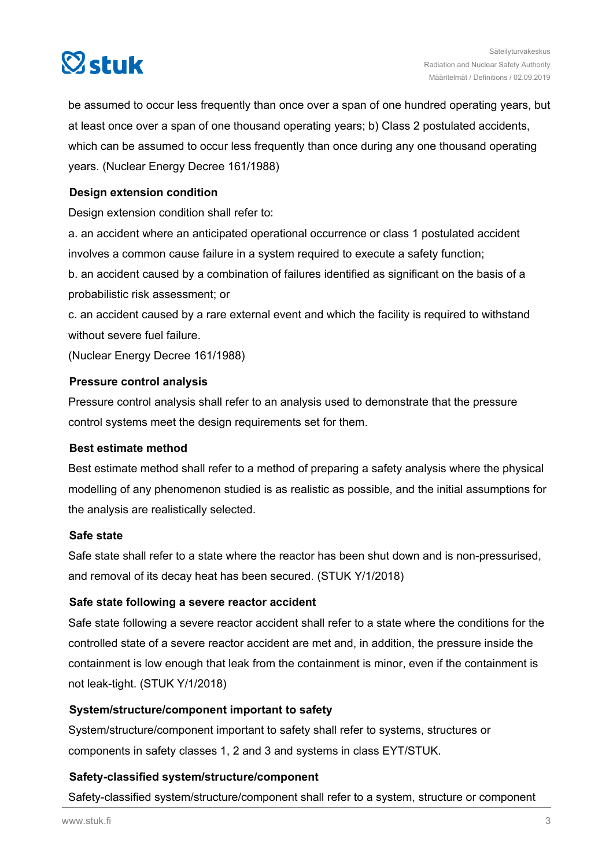

be assumed to occur less frequently than once over a span of one hundred operating years, but at least once over a span of one thousand operating years; b) Class 2 postulated accidents, which can be assumed to occur less frequently than once during any one thousand operating years. (Nuclear Energy Decree 161/1988)

### **Design extension condition**

Design extension condition shall refer to:

a. an accident where an anticipated operational occurrence or class 1 postulated accident involves a common cause failure in a system required to execute a safety function;

b. an accident caused by a combination of failures identified as significant on the basis of a probabilistic risk assessment; or

c. an accident caused by a rare external event and which the facility is required to withstand without severe fuel failure.

(Nuclear Energy Decree 161/1988)

### **Pressure control analysis**

Pressure control analysis shall refer to an analysis used to demonstrate that the pressure control systems meet the design requirements set for them.

#### **Best estimate method**

Best estimate method shall refer to a method of preparing a safety analysis where the physical modelling of any phenomenon studied is as realistic as possible, and the initial assumptions for the analysis are realistically selected.

### **Safe state**

Safe state shall refer to a state where the reactor has been shut down and is non-pressurised, and removal of its decay heat has been secured. (STUK Y/1/2018)

### **Safe state following a severe reactor accident**

Safe state following a severe reactor accident shall refer to a state where the conditions for the controlled state of a severe reactor accident are met and, in addition, the pressure inside the containment is low enough that leak from the containment is minor, even if the containment is not leak-tight. (STUK Y/1/2018)

### **System/structure/component important to safety**

System/structure/component important to safety shall refer to systems, structures or components in safety classes 1, 2 and 3 and systems in class EYT/STUK.

### **Safety-classified system/structure/component**

Safety-classified system/structure/component shall refer to a system, structure or component